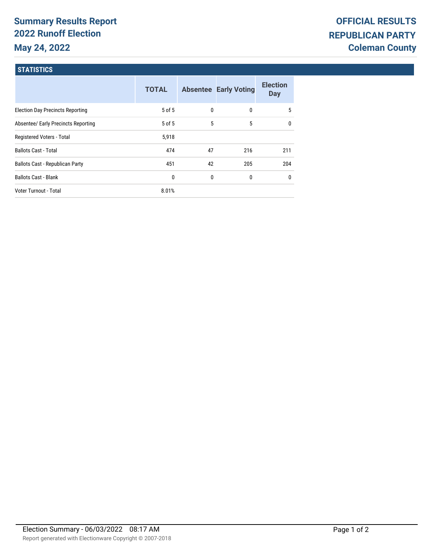# **Summary Results Report 2022 Runoff Election May 24, 2022**

## **STATISTICS**

|                                         | <b>TOTAL</b> |    | <b>Absentee Early Voting</b> | <b>Election</b><br><b>Day</b> |
|-----------------------------------------|--------------|----|------------------------------|-------------------------------|
| <b>Election Day Precincts Reporting</b> | 5 of 5       | 0  | 0                            | 5                             |
| Absentee/ Early Precincts Reporting     | $5$ of $5$   | 5  | 5                            | 0                             |
| Registered Voters - Total               | 5,918        |    |                              |                               |
| <b>Ballots Cast - Total</b>             | 474          | 47 | 216                          | 211                           |
| <b>Ballots Cast - Republican Party</b>  | 451          | 42 | 205                          | 204                           |
| <b>Ballots Cast - Blank</b>             | 0            | 0  | 0                            | $\mathbf{0}$                  |
| Voter Turnout - Total                   | 8.01%        |    |                              |                               |